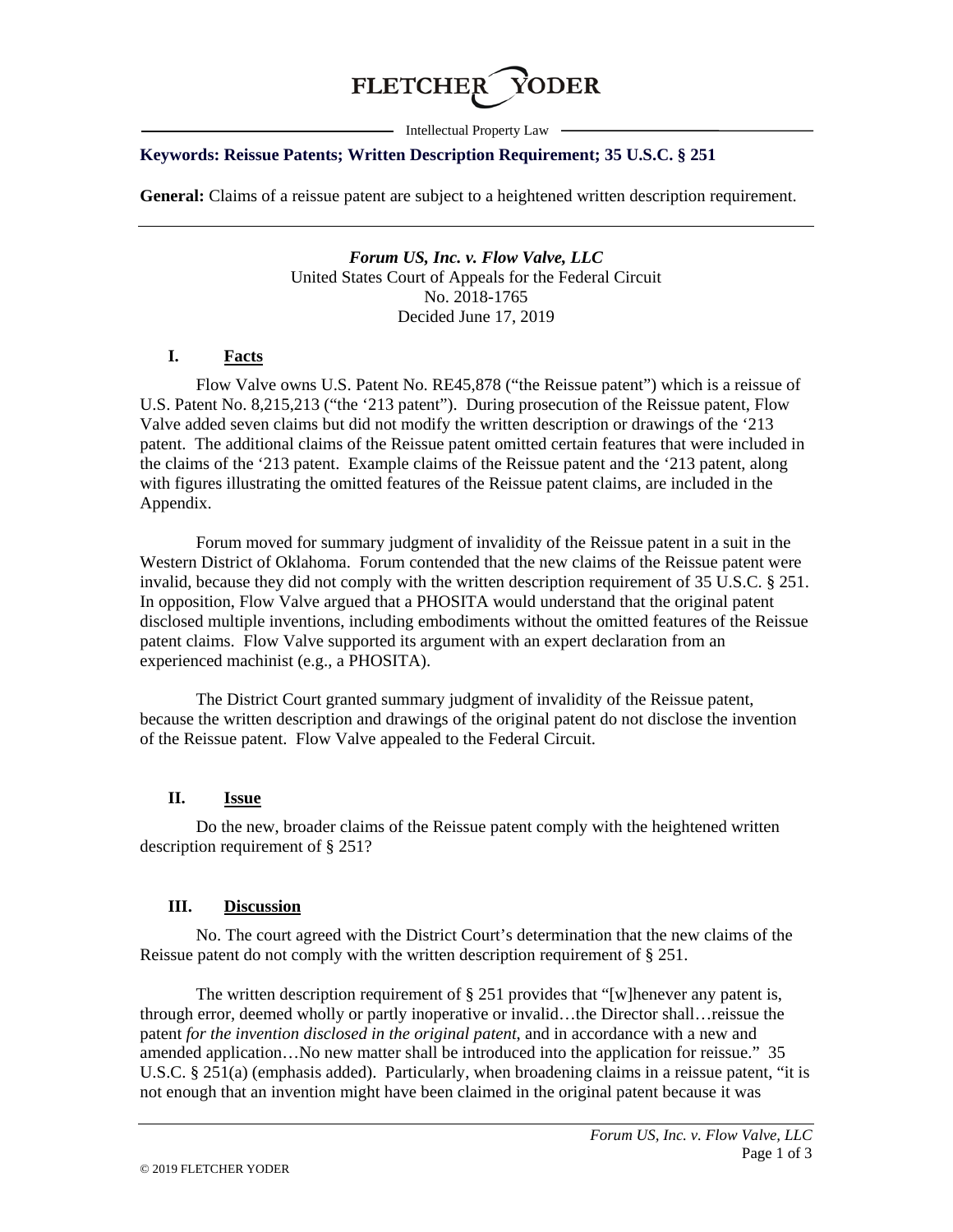

- Intellectual Property Law -

#### **Keywords: Reissue Patents; Written Description Requirement; 35 U.S.C. § 251**

**General:** Claims of a reissue patent are subject to a heightened written description requirement.

*Forum US, Inc. v. Flow Valve, LLC* United States Court of Appeals for the Federal Circuit No. 2018-1765 Decided June 17, 2019

# **I. Facts**

Flow Valve owns U.S. Patent No. RE45,878 ("the Reissue patent") which is a reissue of U.S. Patent No. 8,215,213 ("the '213 patent"). During prosecution of the Reissue patent, Flow Valve added seven claims but did not modify the written description or drawings of the '213 patent. The additional claims of the Reissue patent omitted certain features that were included in the claims of the '213 patent. Example claims of the Reissue patent and the '213 patent, along with figures illustrating the omitted features of the Reissue patent claims, are included in the Appendix.

Forum moved for summary judgment of invalidity of the Reissue patent in a suit in the Western District of Oklahoma. Forum contended that the new claims of the Reissue patent were invalid, because they did not comply with the written description requirement of 35 U.S.C. § 251. In opposition, Flow Valve argued that a PHOSITA would understand that the original patent disclosed multiple inventions, including embodiments without the omitted features of the Reissue patent claims. Flow Valve supported its argument with an expert declaration from an experienced machinist (e.g., a PHOSITA).

The District Court granted summary judgment of invalidity of the Reissue patent, because the written description and drawings of the original patent do not disclose the invention of the Reissue patent. Flow Valve appealed to the Federal Circuit.

# **II. Issue**

Do the new, broader claims of the Reissue patent comply with the heightened written description requirement of § 251?

#### **III. Discussion**

No. The court agreed with the District Court's determination that the new claims of the Reissue patent do not comply with the written description requirement of § 251.

The written description requirement of  $\S 251$  provides that "[w]henever any patent is, through error, deemed wholly or partly inoperative or invalid…the Director shall…reissue the patent *for the invention disclosed in the original patent*, and in accordance with a new and amended application…No new matter shall be introduced into the application for reissue." 35 U.S.C. § 251(a) (emphasis added). Particularly, when broadening claims in a reissue patent, "it is not enough that an invention might have been claimed in the original patent because it was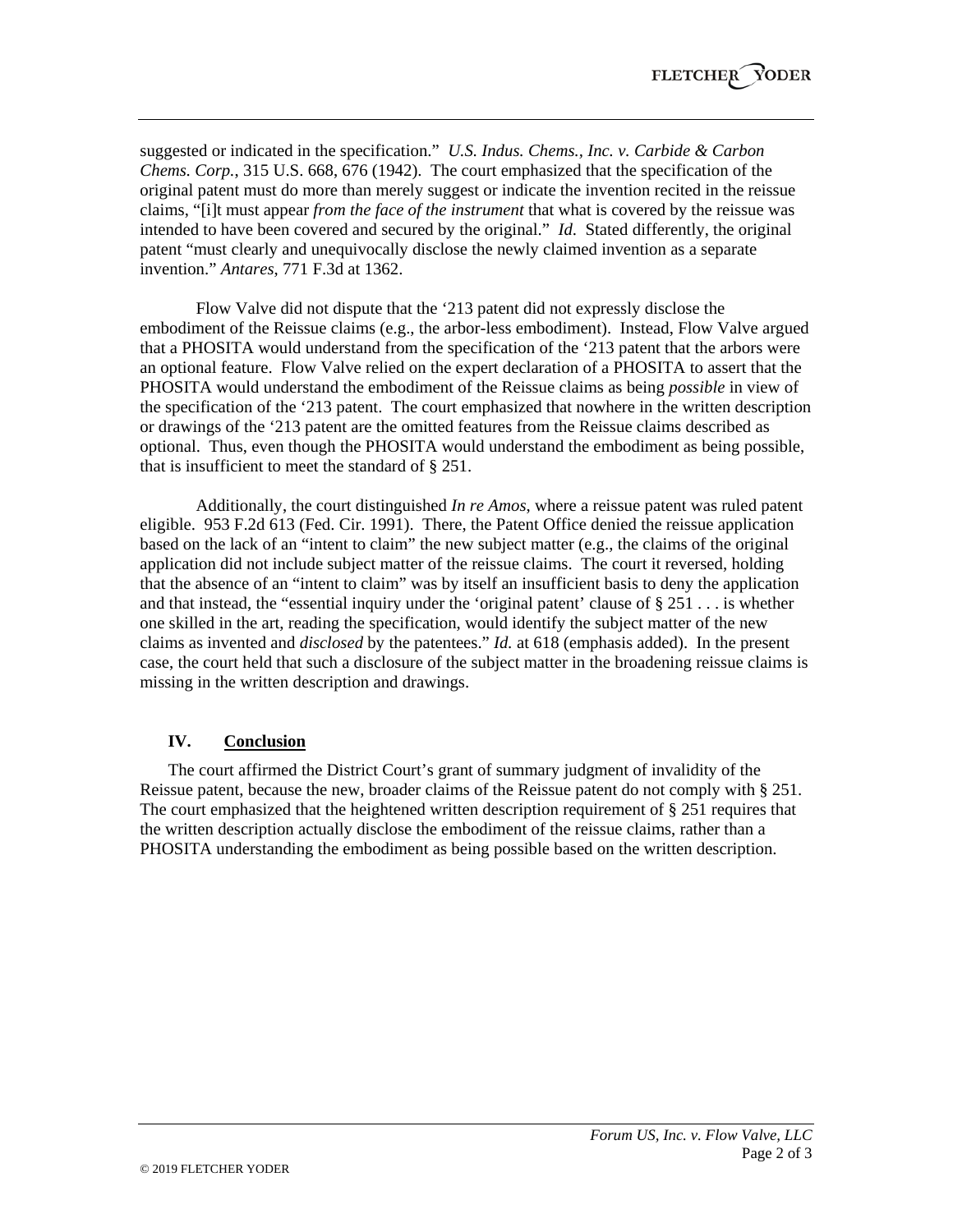suggested or indicated in the specification." *U.S. Indus. Chems., Inc. v. Carbide & Carbon Chems. Corp.*, 315 U.S. 668, 676 (1942). The court emphasized that the specification of the original patent must do more than merely suggest or indicate the invention recited in the reissue claims, "[i]t must appear *from the face of the instrument* that what is covered by the reissue was intended to have been covered and secured by the original." *Id*. Stated differently, the original patent "must clearly and unequivocally disclose the newly claimed invention as a separate invention." *Antares*, 771 F.3d at 1362.

Flow Valve did not dispute that the '213 patent did not expressly disclose the embodiment of the Reissue claims (e.g., the arbor-less embodiment). Instead, Flow Valve argued that a PHOSITA would understand from the specification of the '213 patent that the arbors were an optional feature. Flow Valve relied on the expert declaration of a PHOSITA to assert that the PHOSITA would understand the embodiment of the Reissue claims as being *possible* in view of the specification of the '213 patent. The court emphasized that nowhere in the written description or drawings of the '213 patent are the omitted features from the Reissue claims described as optional. Thus, even though the PHOSITA would understand the embodiment as being possible, that is insufficient to meet the standard of § 251.

Additionally, the court distinguished *In re Amos*, where a reissue patent was ruled patent eligible. 953 F.2d 613 (Fed. Cir. 1991). There, the Patent Office denied the reissue application based on the lack of an "intent to claim" the new subject matter (e.g., the claims of the original application did not include subject matter of the reissue claims. The court it reversed, holding that the absence of an "intent to claim" was by itself an insufficient basis to deny the application and that instead, the "essential inquiry under the 'original patent' clause of  $\S 251$ ... is whether one skilled in the art, reading the specification, would identify the subject matter of the new claims as invented and *disclosed* by the patentees." *Id.* at 618 (emphasis added). In the present case, the court held that such a disclosure of the subject matter in the broadening reissue claims is missing in the written description and drawings.

# **IV. Conclusion**

The court affirmed the District Court's grant of summary judgment of invalidity of the Reissue patent, because the new, broader claims of the Reissue patent do not comply with § 251. The court emphasized that the heightened written description requirement of  $\S 251$  requires that the written description actually disclose the embodiment of the reissue claims, rather than a PHOSITA understanding the embodiment as being possible based on the written description.